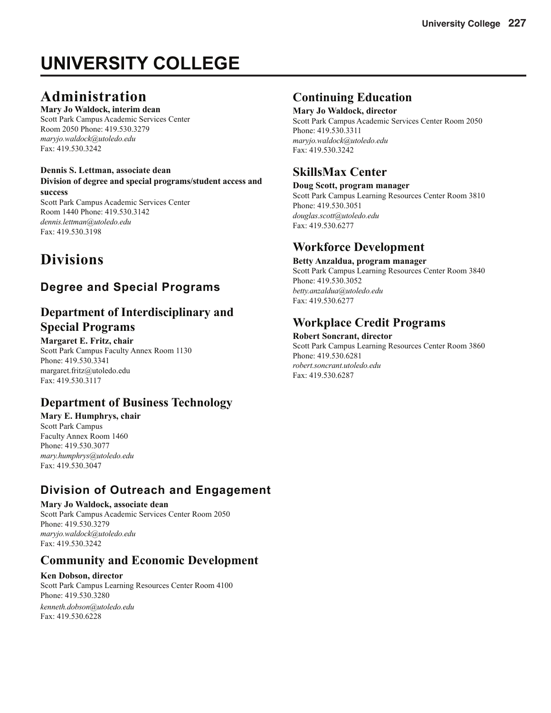# **UNIVERSITY COLLEGE**

## **Administration**

#### **Mary Jo Waldock, interim dean**

Scott Park Campus Academic Services Center Room 2050 Phone: 419.530.3279 *maryjo.waldock@utoledo.edu* Fax: 419.530.3242

#### **Dennis S. Lettman, associate dean Division of degree and special programs/student access and success**

Scott Park Campus Academic Services Center Room 1440 Phone: 419.530.3142 *dennis.lettman@utoledo.edu* Fax: 419.530.3198

**Divisions**

### **Degree and Special Programs**

### **Department of Interdisciplinary and Special Programs**

#### **Margaret E. Fritz, chair**

Scott Park Campus Faculty Annex Room 1130 Phone: 419.530.3341 margaret.fritz@utoledo.edu Fax: 419.530.3117

### **Department of Business Technology**

#### **Mary E. Humphrys, chair** Scott Park Campus Faculty Annex Room 1460 Phone: 419.530.3077 *mary.humphrys@utoledo.edu*  Fax: 419.530.3047

### **Division of Outreach and Engagement**

#### **Mary Jo Waldock, associate dean**

Scott Park Campus Academic Services Center Room 2050 Phone: 419.530.3279 *maryjo.waldock@utoledo.edu* Fax: 419.530.3242

### **Community and Economic Development**

#### **Ken Dobson, director**

Scott Park Campus Learning Resources Center Room 4100 Phone: 419.530.3280

*kenneth.dobson@utoledo.edu* Fax: 419.530.6228

### **Continuing Education**

**Mary Jo Waldock, director**

Scott Park Campus Academic Services Center Room 2050 Phone: 419.530.3311 *maryjo.waldock@utoledo.edu* Fax: 419.530.3242

### **SkillsMax Center**

**Doug Scott, program manager** Scott Park Campus Learning Resources Center Room 3810 Phone: 419.530.3051 *douglas.scott@utoledo.edu* Fax: 419.530.6277

### **Workforce Development**

**Betty Anzaldua, program manager** Scott Park Campus Learning Resources Center Room 3840 Phone: 419.530.3052 *betty.anzaldua@utoledo.edu* Fax: 419.530.6277

### **Workplace Credit Programs**

**Robert Soncrant, director** Scott Park Campus Learning Resources Center Room 3860 Phone: 419.530.6281 *robert.soncrant.utoledo.edu* Fax: 419.530.6287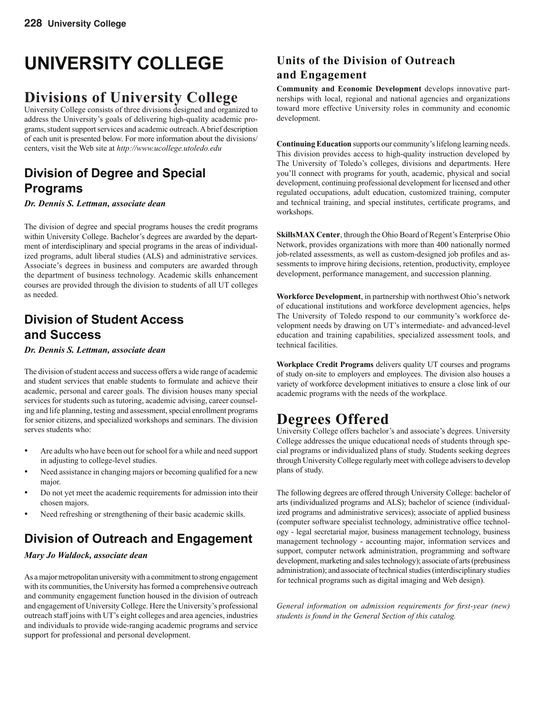# **UNIVERSITY COLLEGE**

## **Divisions of University College**

University College consists of three divisions designed and organized to address the University's goals of delivering high-quality academic programs, student support services and academic outreach. A brief description of each unit is presented below. For more information about the divisions/ centers, visit the Web site at *http://www.ucollege.utoledo.edu*

### **Division of Degree and Special Programs**

*Dr. Dennis S. Lettman, associate dean*

The division of degree and special programs houses the credit programs within University College. Bachelor's degrees are awarded by the department of interdisciplinary and special programs in the areas of individualized programs, adult liberal studies (ALS) and administrative services. Associate's degrees in business and computers are awarded through the department of business technology. Academic skills enhancement courses are provided through the division to students of all UT colleges as needed.

### **Division of Student Access and Success**

*Dr. Dennis S. Lettman, associate dean*

The division of student access and success offers a wide range of academic and student services that enable students to formulate and achieve their academic, personal and career goals. The division houses many special services for students such as tutoring, academic advising, career counseling and life planning, testing and assessment, special enrollment programs for senior citizens, and specialized workshops and seminars. The division serves students who:

- Are adults who have been out for school for a while and need support in adjusting to college-level studies.
- Need assistance in changing majors or becoming qualified for a new major.
- Do not yet meet the academic requirements for admission into their chosen majors.
- Need refreshing or strengthening of their basic academic skills.

### **Division of Outreach and Engagement**

#### *Mary Jo Waldock, associate dean*

As a major metropolitan university with a commitment to strong engagement with its communities, the University has formed a comprehensive outreach and community engagement function housed in the division of outreach and engagement of University College. Here the University's professional outreach staff joins with UT's eight colleges and area agencies, industries and individuals to provide wide-ranging academic programs and service support for professional and personal development.

### **Units of the Division of Outreach and Engagement**

**Community and Economic Development** develops innovative partnerships with local, regional and national agencies and organizations toward more effective University roles in community and economic development.

**Continuing Education** supports our community's lifelong learning needs. This division provides access to high-quality instruction developed by The University of Toledo's colleges, divisions and departments. Here you'll connect with programs for youth, academic, physical and social development, continuing professional development for licensed and other regulated occupations, adult education, customized training, computer and technical training, and special institutes, certificate programs, and workshops.

**SkillsMAX Center**, through the Ohio Board of Regent's Enterprise Ohio Network, provides organizations with more than 400 nationally normed job-related assessments, as well as custom-designed job profiles and assessments to improve hiring decisions, retention, productivity, employee development, performance management, and succession planning.

**Workforce Development**, in partnership with northwest Ohio's network of educational institutions and workforce development agencies, helps The University of Toledo respond to our community's workforce development needs by drawing on UT's intermediate- and advanced-level education and training capabilities, specialized assessment tools, and technical facilities.

**Workplace Credit Programs** delivers quality UT courses and programs of study on-site to employers and employees. The division also houses a variety of workforce development initiatives to ensure a close link of our academic programs with the needs of the workplace.

## **Degrees Offered**

University College offers bachelor's and associate's degrees. University College addresses the unique educational needs of students through special programs or individualized plans of study. Students seeking degrees through University College regularly meet with college advisers to develop plans of study.

The following degrees are offered through University College: bachelor of arts (individualized programs and ALS); bachelor of science (individualized programs and administrative services); associate of applied business (computer software specialist technology, administrative office technology - legal secretarial major, business management technology, business management technology - accounting major, information services and support, computer network administration, programming and software development, marketing and sales technology); associate of arts (prebusiness administration); and associate of technical studies (interdisciplinary studies for technical programs such as digital imaging and Web design).

*General information on admission requirements for first-year (new) students is found in the General Section of this catalog.*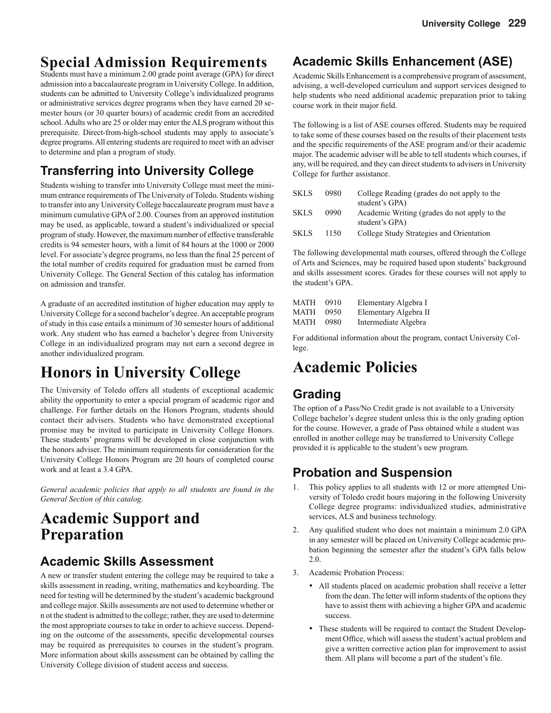## **Special Admission Requirements**

Students must have a minimum 2.00 grade point average (GPA) for direct admission into a baccalaureate program in University College. In addition, students can be admitted to University College's individualized programs or administrative services degree programs when they have earned 20 semester hours (or 30 quarter hours) of academic credit from an accredited school. Adults who are 25 or older may enter the ALS program without this prerequisite. Direct-from-high-school students may apply to associate's degree programs. All entering students are required to meet with an adviser to determine and plan a program of study.

### **Transferring into University College**

Students wishing to transfer into University College must meet the minimum entrance requirements of The University of Toledo. Students wishing to transfer into any University College baccalaureate program must have a minimum cumulative GPA of 2.00. Courses from an approved institution may be used, as applicable, toward a student's individualized or special program of study. However, the maximum number of effective transferable credits is 94 semester hours, with a limit of 84 hours at the 1000 or 2000 level. For associate's degree programs, no less than the final 25 percent of the total number of credits required for graduation must be earned from University College. The General Section of this catalog has information on admission and transfer.

A graduate of an accredited institution of higher education may apply to University College for a second bachelor's degree. An acceptable program of study in this case entails a minimum of 30 semester hours of additional work. Any student who has earned a bachelor's degree from University College in an individualized program may not earn a second degree in another individualized program.

## **Honors in University College**

The University of Toledo offers all students of exceptional academic ability the opportunity to enter a special program of academic rigor and challenge. For further details on the Honors Program, students should contact their advisers. Students who have demonstrated exceptional promise may be invited to participate in University College Honors. These students' programs will be developed in close conjunction with the honors adviser. The minimum requirements for consideration for the University College Honors Program are 20 hours of completed course work and at least a 3.4 GPA.

*General academic policies that apply to all students are found in the General Section of this catalog*.

## **Academic Support and Preparation**

### **Academic Skills Assessment**

A new or transfer student entering the college may be required to take a skills assessment in reading, writing, mathematics and keyboarding. The need for testing will be determined by the student's academic background and college major. Skills assessments are not used to determine whether or n ot the student is admitted to the college; rather, they are used to determine the most appropriate courses to take in order to achieve success. Depending on the outcome of the assessments, specific developmental courses may be required as prerequisites to courses in the student's program. More information about skills assessment can be obtained by calling the University College division of student access and success.

### **Academic Skills Enhancement (ASE)**

Academic Skills Enhancement is a comprehensive program of assessment, advising, a well-developed curriculum and support services designed to help students who need additional academic preparation prior to taking course work in their major field.

The following is a list of ASE courses offered. Students may be required to take some of these courses based on the results of their placement tests and the specific requirements of the ASE program and/or their academic major. The academic adviser will be able to tell students which courses, if any, will be required, and they can direct students to advisers in University College for further assistance.

| <b>SKLS</b> | 0980 | College Reading (grades do not apply to the  |
|-------------|------|----------------------------------------------|
|             |      | student's GPA)                               |
| <b>SKLS</b> | 0990 | Academic Writing (grades do not apply to the |
|             |      | student's GPA)                               |
| <b>SKLS</b> | 1150 | College Study Strategies and Orientation     |

The following developmental math courses, offered through the College of Arts and Sciences, may be required based upon students' background and skills assessment scores. Grades for these courses will not apply to the student's GPA.

| MATH | 0910 | Elementary Algebra I  |
|------|------|-----------------------|
| MATH | 0950 | Elementary Algebra II |
| MATH | 0980 | Intermediate Algebra  |

For additional information about the program, contact University College.

## **Academic Policies**

### **Grading**

The option of a Pass/No Credit grade is not available to a University College bachelor's degree student unless this is the only grading option for the course. However, a grade of Pass obtained while a student was enrolled in another college may be transferred to University College provided it is applicable to the student's new program.

### **Probation and Suspension**

- This policy applies to all students with 12 or more attempted University of Toledo credit hours majoring in the following University College degree programs: individualized studies, administrative services, ALS and business technology.
- Any qualified student who does not maintain a minimum 2.0 GPA in any semester will be placed on University College academic probation beginning the semester after the student's GPA falls below 2.0.
- 3. Academic Probation Process:
	- All students placed on academic probation shall receive a letter from the dean. The letter will inform students of the options they have to assist them with achieving a higher GPA and academic success.
	- These students will be required to contact the Student Development Office, which will assess the student's actual problem and give a written corrective action plan for improvement to assist them. All plans will become a part of the student's file.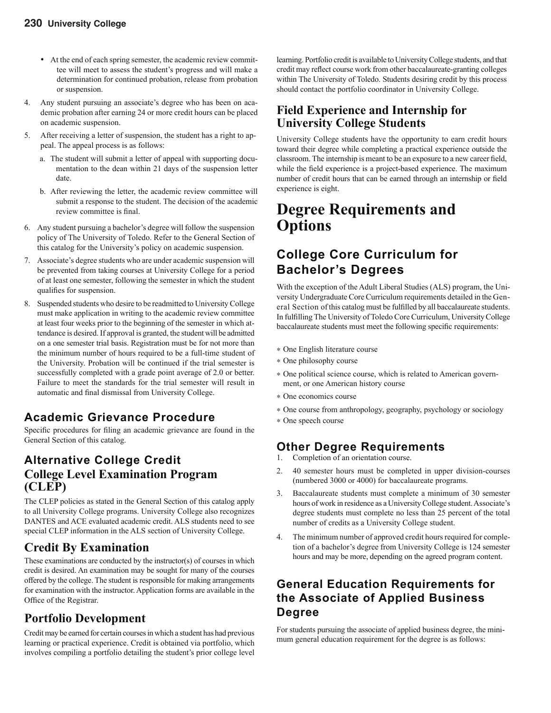- At the end of each spring semester, the academic review committee will meet to assess the student's progress and will make a determination for continued probation, release from probation or suspension.
- 4. Any student pursuing an associate's degree who has been on academic probation after earning 24 or more credit hours can be placed on academic suspension.
- 5. After receiving a letter of suspension, the student has a right to ap peal. The appeal process is as follows:
	- a. The student will submit a letter of appeal with supporting documentation to the dean within 21 days of the suspension letter date.
	- b. After reviewing the letter, the academic review committee will submit a response to the student. The decision of the academic review committee is final.
- 6. Any student pursuing a bachelor's degree will follow the suspension policy of The University of Toledo. Refer to the General Section of this catalog for the University's policy on academic suspension.
- 7. Associate's degree students who are under academic suspension will be prevented from taking courses at University College for a period of at least one semester, following the semester in which the student qualifies for suspension.
- 8. Suspended students who desire to be readmitted to University College must make application in writing to the academic review committee at least four weeks prior to the beginning of the semester in which attendance is desired. If approval is granted, the student will be admitted on a one semester trial basis. Registration must be for not more than the minimum number of hours required to be a full-time student of the University. Probation will be continued if the trial semester is successfully completed with a grade point average of 2.0 or better. Failure to meet the standards for the trial semester will result in automatic and final dismissal from University College.

### **Academic Grievance Procedure**

Specific procedures for filing an academic grievance are found in the General Section of this catalog.

### **Alternative College Credit College Level Examination Program (CLEP)**

The CLEP policies as stated in the General Section of this catalog apply to all University College programs. University College also recognizes DANTES and ACE evaluated academic credit. ALS students need to see special CLEP information in the ALS section of University College.

### **Credit By Examination**

These examinations are conducted by the instructor(s) of courses in which credit is desired. An examination may be sought for many of the courses offered by the college. The student is responsible for making arrangements for examination with the instructor. Application forms are available in the Office of the Registrar.

### **Portfolio Development**

Credit may be earned for certain courses in which a student has had previous learning or practical experience. Credit is obtained via portfolio, which involves compiling a portfolio detailing the student's prior college level learning. Portfolio credit is available to University College students, and that credit may reflect course work from other baccalaureate-granting colleges within The University of Toledo. Students desiring credit by this process should contact the portfolio coordinator in University College.

### **Field Experience and Internship for University College Students**

University College students have the opportunity to earn credit hours toward their degree while completing a practical experience outside the classroom. The internship is meant to be an exposure to a new career field, while the field experience is a project-based experience. The maximum number of credit hours that can be earned through an internship or field experience is eight.

## **Degree Requirements and Options**

### **College Core Curriculum for Bachelor's Degrees**

With the exception of the Adult Liberal Studies (ALS) program, the University Undergraduate Core Curriculum requirements detailed in the General Section of this catalog must be fulfilled by all baccalaureate students. In fulfilling The University of Toledo Core Curriculum, University College baccalaureate students must meet the following specific requirements:

- ∗ One English literature course
- ∗ One philosophy course
- ∗ One political science course, which is related to American government, or one American history course
- ∗ One economics course
- ∗ One course from anthropology, geography, psychology or sociology
- ∗ One speech course

#### **Other Degree Requirements**

- 1. Completion of an orientation course.
- 2. 40 semester hours must be completed in upper division-courses (numbered 3000 or 4000) for baccalaureate programs.
- 3. Baccalaureate students must complete a minimum of 30 semester hours of work in residence as a University College student. Associate's degree students must complete no less than 25 percent of the total number of credits as a University College student.
- 4. The minimum number of approved credit hours required for completion of a bachelor's degree from University College is 124 semester hours and may be more, depending on the agreed program content.

### **General Education Requirements for the Associate of Applied Business Degree**

For students pursuing the associate of applied business degree, the minimum general education requirement for the degree is as follows: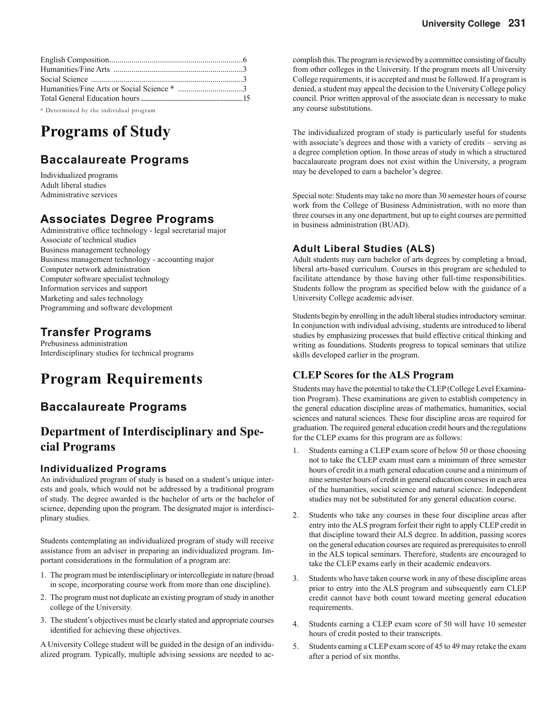\* Determined by the individual program

## **Programs of Study**

### **Baccalaureate Programs**

Individualized programs Adult liberal studies Administrative services

### **Associates Degree Programs**

Administrative office technology - legal secretarial major Associate of technical studies Business management technology Business management technology - accounting major Computer network administration Computer software specialist technology Information services and support Marketing and sales technology Programming and software development

### **Transfer Programs**

Prebusiness administration Interdisciplinary studies for technical programs

## **Program Requirements**

### **Baccalaureate Programs**

### **Department of Interdisciplinary and Special Programs**

#### **Individualized Programs**

An individualized program of study is based on a student's unique interests and goals, which would not be addressed by a traditional program of study. The degree awarded is the bachelor of arts or the bachelor of science, depending upon the program. The designated major is interdisciplinary studies.

Students contemplating an individualized program of study will receive assistance from an adviser in preparing an individualized program. Important considerations in the formulation of a program are:

- 1. The program must be interdisciplinary or intercollegiate in nature (broad in scope, incorporating course work from more than one discipline).
- 2. The program must not duplicate an existing program of study in another college of the University.
- 3. The student's objectives must be clearly stated and appropriate courses identified for achieving these objectives.

A University College student will be guided in the design of an individualized program. Typically, multiple advising sessions are needed to accomplish this. The program is reviewed by a committee consisting of faculty from other colleges in the University. If the program meets all University College requirements, it is accepted and must be followed. If a program is denied, a student may appeal the decision to the University College policy council. Prior written approval of the associate dean is necessary to make any course substitutions.

The individualized program of study is particularly useful for students with associate's degrees and those with a variety of credits – serving as a degree completion option. In those areas of study in which a structured baccalaureate program does not exist within the University, a program may be developed to earn a bachelor's degree.

Special note: Students may take no more than 30 semester hours of course work from the College of Business Administration, with no more than three courses in any one department, but up to eight courses are permitted in business administration (BUAD).

#### **Adult Liberal Studies (ALS)**

Adult students may earn bachelor of arts degrees by completing a broad, liberal arts-based curriculum. Courses in this program are scheduled to facilitate attendance by those having other full-time responsibilities. Students follow the program as specified below with the guidance of a University College academic adviser.

Students begin by enrolling in the adult liberal studies introductory seminar. In conjunction with individual advising, students are introduced to liberal studies by emphasizing processes that build effective critical thinking and writing as foundations. Students progress to topical seminars that utilize skills developed earlier in the program.

#### **CLEP Scores for the ALS Program**

Students may have the potential to take the CLEP (College Level Examination Program). These examinations are given to establish competency in the general education discipline areas of mathematics, humanities, social sciences and natural sciences. These four discipline areas are required for graduation. The required general education credit hours and the regulations for the CLEP exams for this program are as follows:

- 1. Students earning a CLEP exam score of below 50 or those choosing not to take the CLEP exam must earn a minimum of three semester hours of credit in a math general education course and a minimum of nine semester hours of credit in general education courses in each area of the humanities, social science and natural science. Independent studies may not be substituted for any general education course.
- 2. Students who take any courses in these four discipline areas after entry into the ALS program forfeit their right to apply CLEP credit in that discipline toward their ALS degree. In addition, passing scores on the general education courses are required as prerequisites to enroll in the ALS topical seminars. Therefore, students are encouraged to take the CLEP exams early in their academic endeavors.
- 3. Students who have taken course work in any of these discipline areas prior to entry into the ALS program and subsequently earn CLEP credit cannot have both count toward meeting general education requirements.
- 4. Students earning a CLEP exam score of 50 will have 10 semester hours of credit posted to their transcripts.
- 5. Students earning a CLEP exam score of 45 to 49 may retake the exam after a period of six months.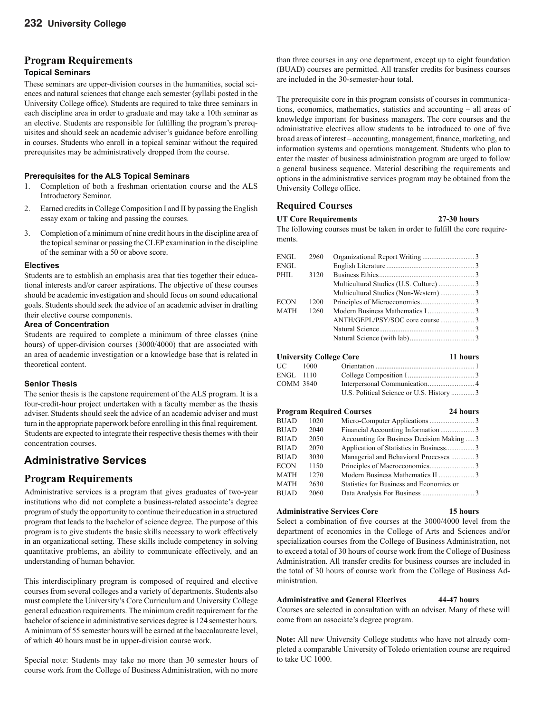#### **Program Requirements**

#### **Topical Seminars**

These seminars are upper-division courses in the humanities, social sciences and natural sciences that change each semester (syllabi posted in the University College office). Students are required to take three seminars in each discipline area in order to graduate and may take a 10th seminar as an elective. Students are responsible for fulfilling the program's prerequisites and should seek an academic adviser's guidance before enrolling in courses. Students who enroll in a topical seminar without the required prerequisites may be administratively dropped from the course.

#### **Prerequisites for the ALS Topical Seminars**

- 1. Completion of both a freshman orientation course and the ALS Introductory Seminar.
- 2. Earned credits in College Composition I and II by passing the English essay exam or taking and passing the courses.
- 3. Completion of a minimum of nine credit hours in the discipline area of the topical seminar or passing the CLEP examination in the discipline of the seminar with a 50 or above score.

#### **Electives**

Students are to establish an emphasis area that ties together their educational interests and/or career aspirations. The objective of these courses should be academic investigation and should focus on sound educational goals. Students should seek the advice of an academic adviser in drafting their elective course components.

#### **Area of Concentration**

Students are required to complete a minimum of three classes (nine hours) of upper-division courses (3000/4000) that are associated with an area of academic investigation or a knowledge base that is related in theoretical content.

#### **Senior Thesis**

The senior thesis is the capstone requirement of the ALS program. It is a four-credit-hour project undertaken with a faculty member as the thesis adviser. Students should seek the advice of an academic adviser and must turn in the appropriate paperwork before enrolling in this final requirement. Students are expected to integrate their respective thesis themes with their concentration courses.

#### **Administrative Services**

#### **Program Requirements**

Administrative services is a program that gives graduates of two-year institutions who did not complete a business-related associate's degree program of study the opportunity to continue their education in a structured program that leads to the bachelor of science degree. The purpose of this program is to give students the basic skills necessary to work effectively in an organizational setting. These skills include competency in solving quantitative problems, an ability to communicate effectively, and an understanding of human behavior.

This interdisciplinary program is composed of required and elective courses from several colleges and a variety of departments. Students also must complete the University's Core Curriculum and University College general education requirements. The minimum credit requirement for the bachelor of science in administrative services degree is 124 semester hours. A minimum of 55 semester hours will be earned at the baccalaureate level, of which 40 hours must be in upper-division course work.

Special note: Students may take no more than 30 semester hours of course work from the College of Business Administration, with no more

than three courses in any one department, except up to eight foundation (BUAD) courses are permitted. All transfer credits for business courses are included in the 30-semester-hour total.

The prerequisite core in this program consists of courses in communications, economics, mathematics, statistics and accounting – all areas of knowledge important for business managers. The core courses and the administrative electives allow students to be introduced to one of five broad areas of interest - accounting, management, finance, marketing, and information systems and operations management. Students who plan to enter the master of business administration program are urged to follow a general business sequence. Material describing the requirements and options in the administrative services program may be obtained from the University College office.

#### **Required Courses**

#### **UT Core Requirements 27-30 hours**

The following courses must be taken in order to fulfill the core requirements.

| ENGL  | 2960 |  |
|-------|------|--|
| ENGL  |      |  |
| PHIL. | 3120 |  |
|       |      |  |
|       |      |  |
| ECON  | 1200 |  |
| MATH  | 1260 |  |
|       |      |  |
|       |      |  |
|       |      |  |
|       |      |  |

#### **University College Core 11 hours**

| UC-       | - 1000 |                                           |  |
|-----------|--------|-------------------------------------------|--|
| ENGL 1110 |        |                                           |  |
| COMM 3840 |        |                                           |  |
|           |        | U.S. Political Science or U.S. History  3 |  |

| <b>BUAD</b><br>1020<br><b>BUAD</b><br>2040                        |  |
|-------------------------------------------------------------------|--|
|                                                                   |  |
|                                                                   |  |
| <b>BUAD</b><br>2050<br>Accounting for Business Decision Making  3 |  |
| <b>BUAD</b><br>2070<br>Application of Statistics in Business 3    |  |
| <b>BUAD</b><br>3030<br>Managerial and Behavioral Processes 3      |  |
| ECON<br>1150                                                      |  |
| <b>MATH</b><br>1270                                               |  |
| <b>MATH</b><br>2630<br>Statistics for Business and Economics or   |  |
| 2060<br><b>BUAD</b>                                               |  |

#### **Administrative Services Core 15 hours**

Select a combination of five courses at the 3000/4000 level from the department of economics in the College of Arts and Sciences and/or specialization courses from the College of Business Administration, not to exceed a total of 30 hours of course work from the College of Business Administration. All transfer credits for business courses are included in the total of 30 hours of course work from the College of Business Administration.

#### **Administrative and General Electives 44-47 hours**

Courses are selected in consultation with an adviser. Many of these will come from an associate's degree program.

**Note:** All new University College students who have not already completed a comparable University of Toledo orientation course are required to take UC 1000.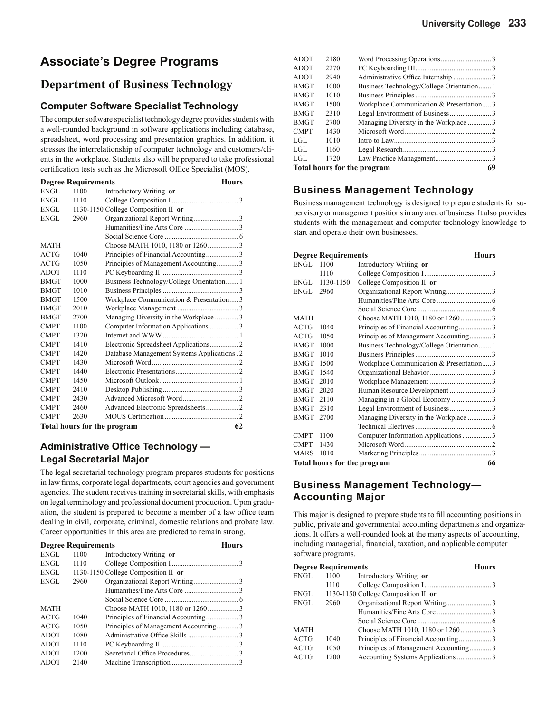### **Associate's Degree Programs**

#### **Department of Business Technology**

#### **Computer Software Specialist Technology**

The computer software specialist technology degree provides students with a well-rounded background in software applications including database, spreadsheet, word processing and presentation graphics. In addition, it stresses the interrelationship of computer technology and customers/clients in the workplace. Students also will be prepared to take professional certification tests such as the Microsoft Office Specialist (MOS).

| <b>Degree Requirements</b> |      |                                             | <b>Hours</b> |
|----------------------------|------|---------------------------------------------|--------------|
| ENGL                       | 1100 | Introductory Writing or                     |              |
| ENGL                       | 1110 |                                             |              |
| ENGL                       |      | 1130-1150 College Composition II or         |              |
| ENGL                       | 2960 |                                             |              |
|                            |      |                                             |              |
|                            |      |                                             |              |
| <b>MATH</b>                |      | Choose MATH 1010, 1180 or 12603             |              |
| <b>ACTG</b>                | 1040 |                                             |              |
| <b>ACTG</b>                | 1050 | Principles of Management Accounting3        |              |
| <b>ADOT</b>                | 1110 |                                             |              |
| <b>BMGT</b>                | 1000 | Business Technology/College Orientation 1   |              |
| <b>BMGT</b>                | 1010 |                                             |              |
| <b>BMGT</b>                | 1500 | Workplace Communication & Presentation 3    |              |
| <b>BMGT</b>                | 2010 |                                             |              |
| <b>BMGT</b>                | 2700 | Managing Diversity in the Workplace 3       |              |
| <b>CMPT</b>                | 1100 | Computer Information Applications  3        |              |
| <b>CMPT</b>                | 1320 |                                             |              |
| <b>CMPT</b>                | 1410 | Electronic Spreadsheet Applications 2       |              |
| <b>CMPT</b>                | 1420 | Database Management Systems Applications .2 |              |
| <b>CMPT</b>                | 1430 |                                             |              |
| <b>CMPT</b>                | 1440 |                                             |              |
| <b>CMPT</b>                | 1450 |                                             |              |
| <b>CMPT</b>                | 2410 |                                             |              |
| <b>CMPT</b>                | 2430 | Advanced Microsoft Word                     |              |
| <b>CMPT</b>                | 2460 |                                             |              |
| <b>CMPT</b>                | 2630 |                                             |              |
|                            |      | <b>Total hours for the program</b>          | 62           |

#### **Administrative Office Technology — Legal Secretarial Major**

The legal secretarial technology program prepares students for positions in law firms, corporate legal departments, court agencies and government agencies. The student receives training in secretarial skills, with emphasis on legal terminology and professional document production. Upon graduation, the student is prepared to become a member of a law office team dealing in civil, corporate, criminal, domestic relations and probate law. Career opportunities in this area are predicted to remain strong.

|             | <b>Degree Requirements</b> |                                      | <b>Hours</b> |
|-------------|----------------------------|--------------------------------------|--------------|
| ENGL        | 1100                       | Introductory Writing or              |              |
| ENGL        | 1110                       |                                      |              |
| ENGL        |                            | 1130-1150 College Composition II or  |              |
| ENGL        | 2960                       |                                      |              |
|             |                            |                                      |              |
|             |                            |                                      |              |
| <b>MATH</b> |                            |                                      |              |
| ACTG        | 1040                       |                                      |              |
| <b>ACTG</b> | 1050                       | Principles of Management Accounting3 |              |
| <b>ADOT</b> | 1080                       |                                      |              |
| <b>ADOT</b> | 1110                       |                                      |              |
| <b>ADOT</b> | 1200                       |                                      |              |
| <b>ADOT</b> | 2140                       |                                      |              |

| 1720 |                                                                                                                              |
|------|------------------------------------------------------------------------------------------------------------------------------|
|      |                                                                                                                              |
| 1160 |                                                                                                                              |
| 1010 |                                                                                                                              |
| 1430 |                                                                                                                              |
| 2700 |                                                                                                                              |
| 2310 |                                                                                                                              |
| 1500 |                                                                                                                              |
| 1010 |                                                                                                                              |
| 1000 |                                                                                                                              |
| 2940 |                                                                                                                              |
| 2270 |                                                                                                                              |
| 2180 |                                                                                                                              |
|      | Business Technology/College Orientation1<br>Workplace Communication & Presentation3<br>Managing Diversity in the Workplace 3 |

#### **Business Management Technology**

Business management technology is designed to prepare students for supervisory or management positions in any area of business. It also provides students with the management and computer technology knowledge to start and operate their own businesses.

|             | <b>Degree Requirements</b>  | Hours                                    |    |
|-------------|-----------------------------|------------------------------------------|----|
| ENGL.       | 1100                        | Introductory Writing or                  |    |
|             | 1110                        |                                          |    |
| ENGL.       | 1130-1150                   | College Composition II or                |    |
| ENGL        | 2960                        |                                          |    |
|             |                             |                                          |    |
|             |                             |                                          |    |
| <b>MATH</b> |                             | Choose MATH 1010, 1180 or 12603          |    |
| <b>ACTG</b> | 1040                        |                                          |    |
| ACTG        | 1050                        | Principles of Management Accounting3     |    |
| <b>BMGT</b> | 1000                        | Business Technology/College Orientation1 |    |
| <b>BMGT</b> | 1010                        |                                          |    |
| <b>BMGT</b> | 1500                        | Workplace Communication & Presentation 3 |    |
| <b>BMGT</b> | 1540                        |                                          |    |
| <b>BMGT</b> | 2010                        |                                          |    |
| <b>BMGT</b> | 2020                        | Human Resource Development 3             |    |
| <b>BMGT</b> | 2110                        | Managing in a Global Economy3            |    |
| <b>BMGT</b> | 2310                        |                                          |    |
| <b>BMGT</b> | 2700                        | Managing Diversity in the Workplace 3    |    |
|             |                             |                                          |    |
| <b>CMPT</b> | 1100                        | Computer Information Applications 3      |    |
| <b>CMPT</b> | 1430                        |                                          |    |
| <b>MARS</b> | 1010                        |                                          |    |
|             | Total hours for the program |                                          | 66 |

#### **Business Management Technology— Accounting Major**

This major is designed to prepare students to fill accounting positions in public, private and governmental accounting departments and organizations. It offers a well-rounded look at the many aspects of accounting, including managerial, financial, taxation, and applicable computer software programs.

|             | <b>Degree Requirements</b> |                                      | <b>Hours</b> |
|-------------|----------------------------|--------------------------------------|--------------|
| ENGL        | 1100                       | Introductory Writing or              |              |
|             | 1110                       |                                      |              |
| ENGL        |                            | 1130-1150 College Composition II or  |              |
| ENGL        | 2960                       |                                      |              |
|             |                            |                                      |              |
|             |                            |                                      |              |
| <b>MATH</b> |                            |                                      |              |
| ACTG        | 1040                       |                                      |              |
| ACTG        | 1050                       | Principles of Management Accounting3 |              |
| ACTG        | 1200                       |                                      |              |
|             |                            |                                      |              |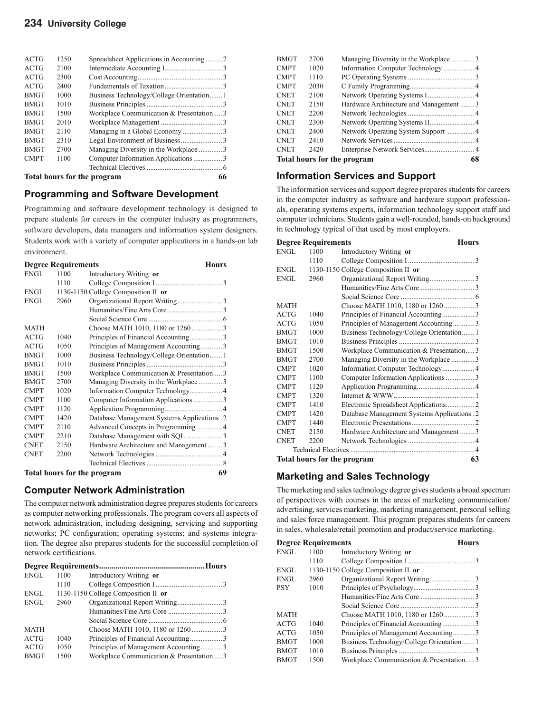#### **234 University College**

| <b>ACTG</b> | 1250                                     |                                          |  |
|-------------|------------------------------------------|------------------------------------------|--|
| <b>ACTG</b> | 2100                                     |                                          |  |
| <b>ACTG</b> | 2300                                     |                                          |  |
| <b>ACTG</b> | 2400                                     |                                          |  |
| <b>BMGT</b> | 1000                                     | Business Technology/College Orientation1 |  |
| <b>BMGT</b> | 1010                                     |                                          |  |
| <b>BMGT</b> | 1500                                     | Workplace Communication & Presentation 3 |  |
| <b>BMGT</b> | 2010                                     |                                          |  |
| <b>BMGT</b> | 2110                                     |                                          |  |
| <b>BMGT</b> | 2310                                     |                                          |  |
| <b>BMGT</b> | 2700                                     | Managing Diversity in the Workplace 3    |  |
| <b>CMPT</b> | 1100                                     |                                          |  |
|             |                                          |                                          |  |
|             | <b>Total hours for the program</b><br>66 |                                          |  |

#### **Programming and Software Development**

Programming and software development technology is designed to prepare students for careers in the computer industry as programmers, software developers, data managers and information system designers. Students work with a variety of computer applications in a hands-on lab environment.

| <b>Degree Requirements</b><br><b>Hours</b> |      |                                             |  |
|--------------------------------------------|------|---------------------------------------------|--|
| ENGL                                       | 1100 | Introductory Writing or                     |  |
|                                            | 1110 |                                             |  |
| ENGL                                       |      | 1130-1150 College Composition II or         |  |
| <b>ENGL</b>                                | 2960 |                                             |  |
|                                            |      |                                             |  |
|                                            |      |                                             |  |
| <b>MATH</b>                                |      |                                             |  |
| <b>ACTG</b>                                | 1040 | Principles of Financial Accounting3         |  |
| ACTG                                       | 1050 | Principles of Management Accounting3        |  |
| <b>BMGT</b>                                | 1000 | Business Technology/College Orientation 1   |  |
| <b>BMGT</b>                                | 1010 |                                             |  |
| <b>BMGT</b>                                | 1500 | Workplace Communication & Presentation 3    |  |
| <b>BMGT</b>                                | 2700 | Managing Diversity in the Workplace 3       |  |
| <b>CMPT</b>                                | 1020 |                                             |  |
| <b>CMPT</b>                                | 1100 | Computer Information Applications  3        |  |
| <b>CMPT</b>                                | 1120 |                                             |  |
| <b>CMPT</b>                                | 1420 | Database Management Systems Applications .2 |  |
| <b>CMPT</b>                                | 2110 |                                             |  |
| <b>CMPT</b>                                | 2210 |                                             |  |
| <b>CNET</b>                                | 2150 | Hardware Architecture and Management  3     |  |
| CNET                                       | 2200 |                                             |  |
|                                            |      |                                             |  |
| <b>Total hours for the program</b>         |      |                                             |  |

#### **Computer Network Administration**

The computer network administration degree prepares students for careers as computer networking professionals. The program covers all aspects of network administration, including designing, servicing and supporting networks; PC configuration; operating systems; and systems integration. The degree also prepares students for the successful completion of network certifications.

| <b>ENGL</b> | 1100 | Introductory Writing or                 |  |
|-------------|------|-----------------------------------------|--|
|             | 1110 |                                         |  |
| ENGL        |      | 1130-1150 College Composition II or     |  |
| <b>ENGL</b> | 2960 |                                         |  |
|             |      |                                         |  |
|             |      |                                         |  |
| <b>MATH</b> |      |                                         |  |
| <b>ACTG</b> | 1040 | Principles of Financial Accounting3     |  |
| ACTG        | 1050 | Principles of Management Accounting3    |  |
| <b>BMGT</b> | 1500 | Workplace Communication & Presentation3 |  |

| BMGT                        | 2700 | Managing Diversity in the Workplace 3  |    |
|-----------------------------|------|----------------------------------------|----|
| <b>CMPT</b>                 | 1020 |                                        |    |
| <b>CMPT</b>                 | 1110 |                                        |    |
| <b>CMPT</b>                 | 2030 |                                        |    |
| <b>CNET</b>                 | 2100 | Network Operating Systems I 4          |    |
| <b>CNET</b>                 | 2150 | Hardware Architecture and Management 3 |    |
| <b>CNET</b>                 | 2200 |                                        |    |
| <b>CNET</b>                 | 2300 |                                        |    |
| <b>CNET</b>                 | 2400 |                                        |    |
| <b>CNET</b>                 | 2410 |                                        |    |
| <b>CNET</b>                 | 2420 |                                        |    |
| Total hours for the program |      |                                        | 68 |

#### **Information Services and Support**

The information services and support degree prepares students for careers in the computer industry as software and hardware support professionals, operating systems experts, information technology support staff and computer technicians. Students gain a well-rounded, hands-on background in technology typical of that used by most employers.

| <b>Degree Requirements</b><br>Hours |      |                                             |
|-------------------------------------|------|---------------------------------------------|
| <b>ENGL</b>                         | 1100 | Introductory Writing or                     |
|                                     | 1110 |                                             |
| <b>ENGL</b>                         |      | 1130-1150 College Composition II or         |
| <b>ENGL</b>                         | 2960 |                                             |
|                                     |      |                                             |
|                                     |      |                                             |
| <b>MATH</b>                         |      | Choose MATH 1010, 1180 or 12603             |
| <b>ACTG</b>                         | 1040 |                                             |
| <b>ACTG</b>                         | 1050 | Principles of Management Accounting3        |
| <b>BMGT</b>                         | 1000 | Business Technology/College Orientation 1   |
| <b>BMGT</b>                         | 1010 |                                             |
| <b>BMGT</b>                         | 1500 | Workplace Communication & Presentation 3    |
| <b>BMGT</b>                         | 2700 | Managing Diversity in the Workplace 3       |
| <b>CMPT</b>                         | 1020 | Information Computer Technology 4           |
| <b>CMPT</b>                         | 1100 | Computer Information Applications  3        |
| <b>CMPT</b>                         | 1120 |                                             |
| <b>CMPT</b>                         | 1320 |                                             |
| <b>CMPT</b>                         | 1410 |                                             |
| <b>CMPT</b>                         | 1420 | Database Management Systems Applications .2 |
| <b>CMPT</b>                         | 1440 |                                             |
| <b>CNET</b>                         | 2150 | Hardware Architecture and Management 3      |
| <b>CNET</b>                         | 2200 |                                             |
|                                     |      |                                             |
| Total hours for the program         |      |                                             |

#### **Marketing and Sales Technology**

The marketing and sales technology degree gives students a broad spectrum of perspectives with courses in the areas of marketing communication/ advertising, services marketing, marketing management, personal selling and sales force management. This program prepares students for careers in sales, wholesale/retail promotion and product/service marketing.

|             | <b>Degree Requirements</b> |                                          | <b>Hours</b> |
|-------------|----------------------------|------------------------------------------|--------------|
| ENGL        | 1100                       | Introductory Writing or                  |              |
|             | 1110                       |                                          |              |
| ENGL        |                            | 1130-1150 College Composition II or      |              |
| ENGL        | 2960                       |                                          |              |
| PSY         | 1010                       |                                          |              |
|             |                            |                                          |              |
|             |                            |                                          |              |
| <b>MATH</b> |                            |                                          |              |
| ACTG        | 1040                       |                                          |              |
| ACTG        | 1050                       | Principles of Management Accounting3     |              |
| <b>BMGT</b> | 1000                       | Business Technology/College Orientation1 |              |
| BMGT        | 1010                       |                                          |              |
| BMGT        | 1500                       | Workplace Communication & Presentation 3 |              |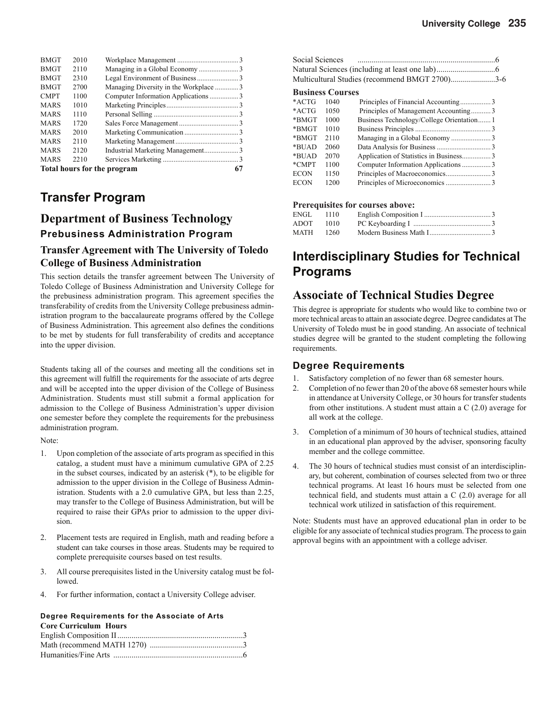| <b>BMGT</b>                 | 2010 |                                       |    |
|-----------------------------|------|---------------------------------------|----|
| <b>BMGT</b>                 | 2110 |                                       |    |
| <b>BMGT</b>                 | 2310 |                                       |    |
| <b>BMGT</b>                 | 2700 | Managing Diversity in the Workplace 3 |    |
| <b>CMPT</b>                 | 1100 |                                       |    |
| <b>MARS</b>                 | 1010 |                                       |    |
| <b>MARS</b>                 | 1110 |                                       |    |
| <b>MARS</b>                 | 1720 |                                       |    |
| <b>MARS</b>                 | 2010 |                                       |    |
| <b>MARS</b>                 | 2110 |                                       |    |
| <b>MARS</b>                 | 2120 |                                       |    |
| <b>MARS</b>                 | 2210 |                                       |    |
| Total hours for the program |      |                                       | 67 |

### **Transfer Program**

### **Department of Business Technology Prebusiness Administration Program**

#### **Transfer Agreement with The University of Toledo College of Business Administration**

This section details the transfer agreement between The University of Toledo College of Business Administration and University College for the prebusiness administration program. This agreement specifies the transferability of credits from the University College prebusiness administration program to the baccalaureate programs offered by the College of Business Administration. This agreement also defines the conditions to be met by students for full transferability of credits and acceptance into the upper division.

Students taking all of the courses and meeting all the conditions set in this agreement will fulfill the requirements for the associate of arts degree and will be accepted into the upper division of the College of Business Administration. Students must still submit a formal application for admission to the College of Business Administration's upper division one semester before they complete the requirements for the prebusiness administration program.

Note:

- 1. Upon completion of the associate of arts program as specified in this catalog, a student must have a minimum cumulative GPA of 2.25 in the subset courses, indicated by an asterisk (\*), to be eligible for admission to the upper division in the College of Business Administration. Students with a 2.0 cumulative GPA, but less than 2.25, may transfer to the College of Business Administration, but will be required to raise their GPAs prior to admission to the upper division.
- 2. Placement tests are required in English, math and reading before a student can take courses in those areas. Students may be required to complete prerequisite courses based on test results.
- 3. All course prerequisites listed in the University catalog must be followed.
- 4. For further information, contact a University College adviser.

#### **Degree Requirements for the Associate of Arts Core Curriculum Hours**

| Social Sciences |                         |                                                |  |
|-----------------|-------------------------|------------------------------------------------|--|
|                 |                         |                                                |  |
|                 |                         | Multicultural Studies (recommend BMGT 2700)3-6 |  |
|                 | <b>Business Courses</b> |                                                |  |
| $*$ ACTG        | 1040                    |                                                |  |
| $*$ ACTG        | 1050                    | Principles of Management Accounting3           |  |
| *BMGT           | 1000                    | Business Technology/College Orientation1       |  |
| *BMGT           | 1010                    |                                                |  |
| *BMGT           | 2110                    |                                                |  |
| *BUAD           | 2060                    |                                                |  |
| *BUAD           | 2070                    | Application of Statistics in Business3         |  |
| *CMPT           | 1100                    |                                                |  |
| <b>ECON</b>     | 1150                    |                                                |  |
| <b>ECON</b>     | 1200                    |                                                |  |
|                 |                         |                                                |  |

#### **Prerequisites for courses above:**

| ENGL 1110 |      |  |
|-----------|------|--|
| ADOT      | 1010 |  |
| MATH      | 1260 |  |
|           |      |  |

### **Interdisciplinary Studies for Technical Programs**

### **Associate of Technical Studies Degree**

This degree is appropriate for students who would like to combine two or more technical areas to attain an associate degree. Degree candidates at The University of Toledo must be in good standing. An associate of technical studies degree will be granted to the student completing the following requirements.

#### **Degree Requirements**

- 1. Satisfactory completion of no fewer than 68 semester hours.
- 2. Completion of no fewer than 20 of the above 68 semester hours while in attendance at University College, or 30 hours for transfer students from other institutions. A student must attain a  $C(2.0)$  average for all work at the college.
- 3. Completion of a minimum of 30 hours of technical studies, attained in an educational plan approved by the adviser, sponsoring faculty member and the college committee.
- The 30 hours of technical studies must consist of an interdisciplinary, but coherent, combination of courses selected from two or three technical programs. At least 16 hours must be selected from one technical field, and students must attain a  $C(2.0)$  average for all technical work utilized in satisfaction of this requirement.

Note: Students must have an approved educational plan in order to be eligible for any associate of technical studies program. The process to gain approval begins with an appointment with a college adviser.